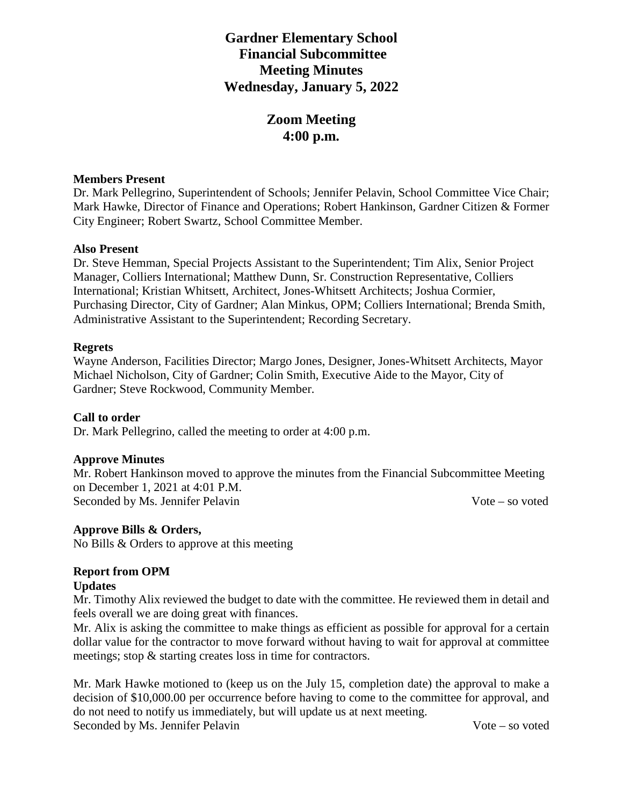## **Gardner Elementary School Financial Subcommittee Meeting Minutes Wednesday, January 5, 2022**

# **Zoom Meeting 4:00 p.m.**

### **Members Present**

Dr. Mark Pellegrino, Superintendent of Schools; Jennifer Pelavin, School Committee Vice Chair; Mark Hawke, Director of Finance and Operations; Robert Hankinson, Gardner Citizen & Former City Engineer; Robert Swartz, School Committee Member.

#### **Also Present**

Dr. Steve Hemman, Special Projects Assistant to the Superintendent; Tim Alix, Senior Project Manager, Colliers International; Matthew Dunn, Sr. Construction Representative, Colliers International; Kristian Whitsett, Architect, Jones-Whitsett Architects; Joshua Cormier, Purchasing Director, City of Gardner; Alan Minkus, OPM; Colliers International; Brenda Smith, Administrative Assistant to the Superintendent; Recording Secretary.

#### **Regrets**

Wayne Anderson, Facilities Director; Margo Jones, Designer, Jones-Whitsett Architects, Mayor Michael Nicholson, City of Gardner; Colin Smith, Executive Aide to the Mayor, City of Gardner; Steve Rockwood, Community Member.

#### **Call to order**

Dr. Mark Pellegrino, called the meeting to order at 4:00 p.m.

#### **Approve Minutes**

Mr. Robert Hankinson moved to approve the minutes from the Financial Subcommittee Meeting on December 1, 2021 at 4:01 P.M. Seconded by Ms. Jennifer Pelavin Vote – so voted

#### **Approve Bills & Orders,**

No Bills & Orders to approve at this meeting

### **Report from OPM**

#### **Updates**

Mr. Timothy Alix reviewed the budget to date with the committee. He reviewed them in detail and feels overall we are doing great with finances.

Mr. Alix is asking the committee to make things as efficient as possible for approval for a certain dollar value for the contractor to move forward without having to wait for approval at committee meetings; stop & starting creates loss in time for contractors.

Mr. Mark Hawke motioned to (keep us on the July 15, completion date) the approval to make a decision of \$10,000.00 per occurrence before having to come to the committee for approval, and do not need to notify us immediately, but will update us at next meeting. Seconded by Ms. Jennifer Pelavin Vote – so voted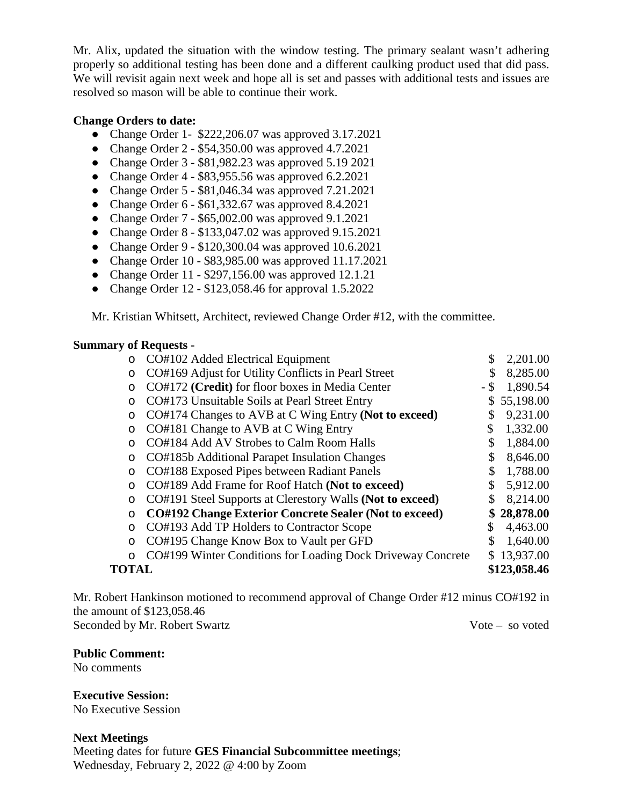Mr. Alix, updated the situation with the window testing. The primary sealant wasn't adhering properly so additional testing has been done and a different caulking product used that did pass. We will revisit again next week and hope all is set and passes with additional tests and issues are resolved so mason will be able to continue their work.

### **Change Orders to date:**

- Change Order 1- \$222,206.07 was approved 3.17.2021
- Change Order 2 \$54,350.00 was approved 4.7.2021
- Change Order 3 \$81,982.23 was approved 5.19 2021
- Change Order  $4 $83,955.56$  was approved  $6.2.2021$
- Change Order 5 \$81,046.34 was approved 7.21.2021
- Change Order  $6 $61,332.67$  was approved 8.4.2021
- Change Order 7 \$65,002.00 was approved 9.1.2021
- Change Order 8 \$133,047.02 was approved 9.15.2021
- Change Order 9 \$120,300.04 was approved 10.6.2021
- Change Order 10 \$83,985.00 was approved 11.17.2021
- Change Order 11 \$297,156.00 was approved 12.1.21
- Change Order 12 \$123,058.46 for approval 1.5.2022

Mr. Kristian Whitsett, Architect, reviewed Change Order #12, with the committee.

#### **Summary of Requests -**

| $\circ$      | CO#102 Added Electrical Equipment                             | \$   | 2,201.00     |
|--------------|---------------------------------------------------------------|------|--------------|
| O            | CO#169 Adjust for Utility Conflicts in Pearl Street           | \$   | 8,285.00     |
| O            | CO#172 (Credit) for floor boxes in Media Center               | - \$ | 1,890.54     |
| $\circ$      | CO#173 Unsuitable Soils at Pearl Street Entry                 | \$   | 55,198.00    |
| O            | CO#174 Changes to AVB at C Wing Entry (Not to exceed)         | \$   | 9,231.00     |
| O            | CO#181 Change to AVB at C Wing Entry                          | \$   | 1,332.00     |
| $\circ$      | CO#184 Add AV Strobes to Calm Room Halls                      | \$   | 1,884.00     |
| $\circ$      | CO#185b Additional Parapet Insulation Changes                 | \$   | 8,646.00     |
| O            | CO#188 Exposed Pipes between Radiant Panels                   | \$   | 1,788.00     |
| $\circ$      | CO#189 Add Frame for Roof Hatch (Not to exceed)               | \$   | 5,912.00     |
| O            | CO#191 Steel Supports at Clerestory Walls (Not to exceed)     | \$   | 8,214.00     |
| $\circ$      | <b>CO#192 Change Exterior Concrete Sealer (Not to exceed)</b> | \$   | 28,878.00    |
| $\circ$      | CO#193 Add TP Holders to Contractor Scope                     | \$   | 4,463.00     |
| $\circ$      | CO#195 Change Know Box to Vault per GFD                       | \$   | 1,640.00     |
| O            | CO#199 Winter Conditions for Loading Dock Driveway Concrete   | S.   | 13,937.00    |
| <b>TOTAL</b> |                                                               |      | \$123,058.46 |

Mr. Robert Hankinson motioned to recommend approval of Change Order #12 minus CO#192 in the amount of \$123,058.46 Seconded by Mr. Robert Swartz Vote – so voted

**Public Comment:**

No comments

**Executive Session:** No Executive Session

**Next Meetings** Meeting dates for future **GES Financial Subcommittee meetings**; Wednesday, February 2, 2022 @ 4:00 by Zoom